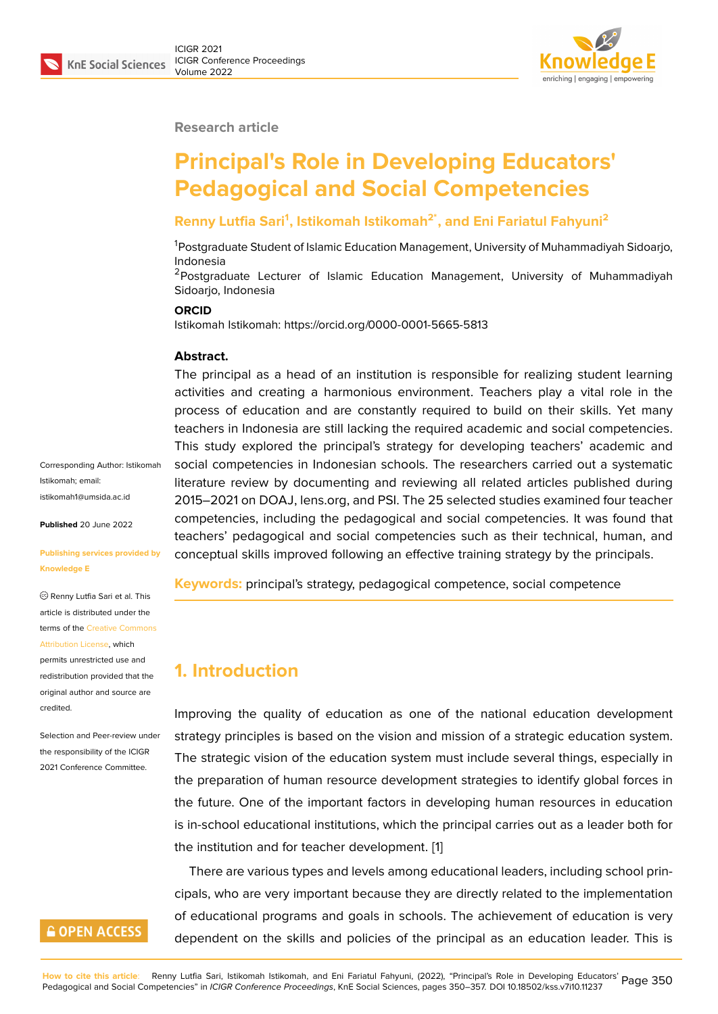#### **Research article**

# **Principal's Role in Developing Educators' Pedagogical and Social Competencies**

### **Renny Lutfia Sari<sup>1</sup> , Istikomah Istikomah2\*, and Eni Fariatul Fahyuni<sup>2</sup>**

<sup>1</sup>Postgraduate Student of Islamic Education Management, University of Muhammadiyah Sidoarjo, Indonesia

<sup>2</sup>Postgraduate Lecturer of Islamic Education Management, University of Muhammadiyah Sidoarjo, Indonesia

#### **ORCID**

Istikomah Istikomah: https://orcid.org/0000-0001-5665-5813

#### **Abstract.**

The principal as a head of an institution is responsible for realizing student learning activities and creating a harmonious environment. Teachers play a vital role in the process of education and are constantly required to build on their skills. Yet many teachers in Indonesia are still lacking the required academic and social competencies. This study explored the principal's strategy for developing teachers' academic and social competencies in Indonesian schools. The researchers carried out a systematic literature review by documenting and reviewing all related articles published during 2015–2021 on DOAJ, lens.org, and PSI. The 25 selected studies examined four teacher competencies, including the pedagogical and social competencies. It was found that teachers' pedagogical and social competencies such as their technical, human, and conceptual skills improved following an effective training strategy by the principals.

**Keywords:** principal's strategy, pedagogical competence, social competence

### **1. Introduction**

Improving the quality of education as one of the national education development strategy principles is based on the vision and mission of a strategic education system. The strategic vision of the education system must include several things, especially in the preparation of human resource development strategies to identify global forces in the future. One of the important factors in developing human resources in education is in-school educational institutions, which the principal carries out as a leader both for the institution and for teacher development. [1]

There are various types and levels among educational leaders, including school principals, who are very important because they are directly related to the implementation of educational programs and goals in schoo[ls](#page-5-0). The achievement of education is very dependent on the skills and policies of the principal as an education leader. This is

Corresponding Author: Istikomah Istikomah; email: istikomah1@umsida.ac.id

**Published** 20 June 2022

#### **[Publishing services prov](mailto:istikomah1@umsida.ac.id)ided by Knowledge E**

Renny Lutfia Sari et al. This article is distributed under the terms of the Creative Commons Attribution License, which

permits unrestricted use and redistribution provided that the original auth[or and source are](https://creativecommons.org/licenses/by/4.0/) [credited.](https://creativecommons.org/licenses/by/4.0/)

Selection and Peer-review under the responsibility of the ICIGR 2021 Conference Committee.

# **GOPEN ACCESS**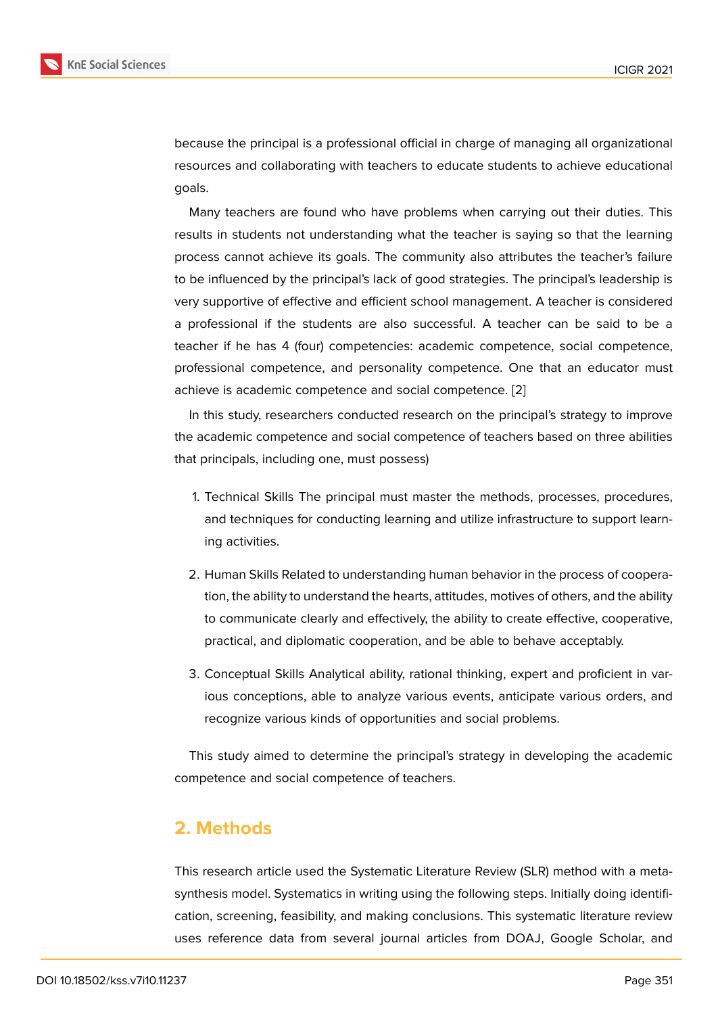because the principal is a professional official in charge of managing all organizational resources and collaborating with teachers to educate students to achieve educational goals.

Many teachers are found who have problems when carrying out their duties. This results in students not understanding what the teacher is saying so that the learning process cannot achieve its goals. The community also attributes the teacher's failure to be influenced by the principal's lack of good strategies. The principal's leadership is very supportive of effective and efficient school management. A teacher is considered a professional if the students are also successful. A teacher can be said to be a teacher if he has 4 (four) competencies: academic competence, social competence, professional competence, and personality competence. One that an educator must achieve is academic competence and social competence. [2]

In this study, researchers conducted research on the principal's strategy to improve the academic competence and social competence of teac[he](#page-6-0)rs based on three abilities that principals, including one, must possess)

- 1. Technical Skills The principal must master the methods, processes, procedures, and techniques for conducting learning and utilize infrastructure to support learning activities.
- 2. Human Skills Related to understanding human behavior in the process of cooperation, the ability to understand the hearts, attitudes, motives of others, and the ability to communicate clearly and effectively, the ability to create effective, cooperative, practical, and diplomatic cooperation, and be able to behave acceptably.
- 3. Conceptual Skills Analytical ability, rational thinking, expert and proficient in various conceptions, able to analyze various events, anticipate various orders, and recognize various kinds of opportunities and social problems.

This study aimed to determine the principal's strategy in developing the academic competence and social competence of teachers.

### **2. Methods**

This research article used the Systematic Literature Review (SLR) method with a metasynthesis model. Systematics in writing using the following steps. Initially doing identification, screening, feasibility, and making conclusions. This systematic literature review uses reference data from several journal articles from DOAJ, Google Scholar, and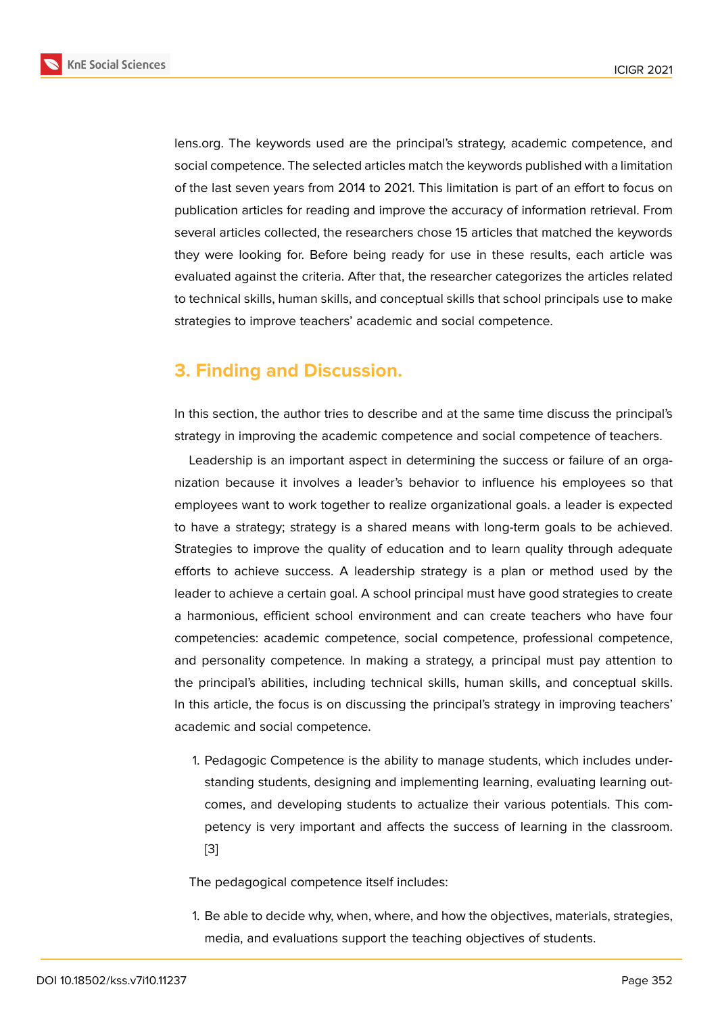lens.org. The keywords used are the principal's strategy, academic competence, and social competence. The selected articles match the keywords published with a limitation of the last seven years from 2014 to 2021. This limitation is part of an effort to focus on publication articles for reading and improve the accuracy of information retrieval. From several articles collected, the researchers chose 15 articles that matched the keywords they were looking for. Before being ready for use in these results, each article was evaluated against the criteria. After that, the researcher categorizes the articles related to technical skills, human skills, and conceptual skills that school principals use to make strategies to improve teachers' academic and social competence.

# **3. Finding and Discussion.**

In this section, the author tries to describe and at the same time discuss the principal's strategy in improving the academic competence and social competence of teachers.

Leadership is an important aspect in determining the success or failure of an organization because it involves a leader's behavior to influence his employees so that employees want to work together to realize organizational goals. a leader is expected to have a strategy; strategy is a shared means with long-term goals to be achieved. Strategies to improve the quality of education and to learn quality through adequate efforts to achieve success. A leadership strategy is a plan or method used by the leader to achieve a certain goal. A school principal must have good strategies to create a harmonious, efficient school environment and can create teachers who have four competencies: academic competence, social competence, professional competence, and personality competence. In making a strategy, a principal must pay attention to the principal's abilities, including technical skills, human skills, and conceptual skills. In this article, the focus is on discussing the principal's strategy in improving teachers' academic and social competence.

1. Pedagogic Competence is the ability to manage students, which includes understanding students, designing and implementing learning, evaluating learning outcomes, and developing students to actualize their various potentials. This competency is very important and affects the success of learning in the classroom. [3]

The pedagogical competence itself includes:

1. [Be](#page-6-1) able to decide why, when, where, and how the objectives, materials, strategies, media, and evaluations support the teaching objectives of students.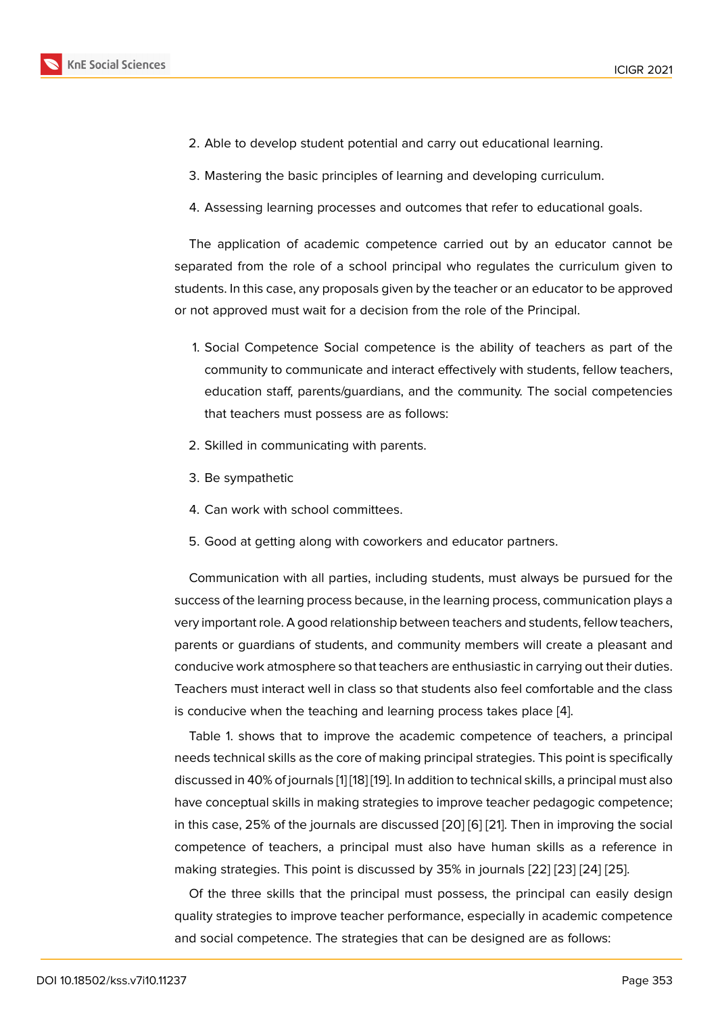- 2. Able to develop student potential and carry out educational learning.
- 3. Mastering the basic principles of learning and developing curriculum.
- 4. Assessing learning processes and outcomes that refer to educational goals.

The application of academic competence carried out by an educator cannot be separated from the role of a school principal who regulates the curriculum given to students. In this case, any proposals given by the teacher or an educator to be approved or not approved must wait for a decision from the role of the Principal.

- 1. Social Competence Social competence is the ability of teachers as part of the community to communicate and interact effectively with students, fellow teachers, education staff, parents/guardians, and the community. The social competencies that teachers must possess are as follows:
- 2. Skilled in communicating with parents.
- 3. Be sympathetic
- 4. Can work with school committees.
- 5. Good at getting along with coworkers and educator partners.

Communication with all parties, including students, must always be pursued for the success of the learning process because, in the learning process, communication plays a very important role. A good relationship between teachers and students, fellow teachers, parents or guardians of students, and community members will create a pleasant and conducive work atmosphere so that teachers are enthusiastic in carrying out their duties. Teachers must interact well in class so that students also feel comfortable and the class is conducive when the teaching and learning process takes place [4].

Table 1. shows that to improve the academic competence of teachers, a principal needs technical skills as the core of making principal strategies. This point is specifically discussed in 40% of journals [1] [18] [19]. In addition to technical skills, [a p](#page-6-2)rincipal must also have conceptual skills in making strategies to improve teacher pedagogic competence; in this case, 25% of the journals are discussed [20] [6] [21]. Then in improving the social competence of teachers, a [p](#page-5-0)r[inc](#page-7-0)i[pa](#page-7-1)l must also have human skills as a reference in making strategies. This point is discussed by 35% in journals [22] [23] [24] [25].

Of the three skills that the principal must p[oss](#page-7-2)[ess](#page-6-3), [th](#page-7-3)e principal can easily design quality strategies to improve teacher performance, especially in academic competence and social competence. The strategies that can be designed [are](#page-7-4) [as fo](#page-7-5)l[low](#page-7-6)s[:](#page-7-7)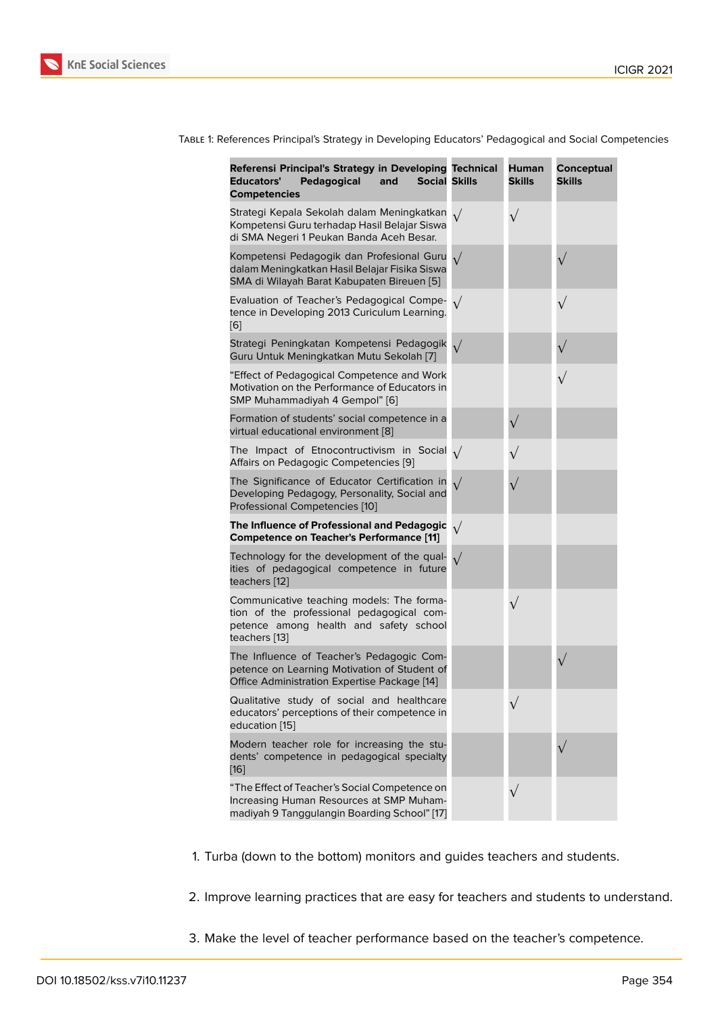| TABLE 1: References Principal's Strategy in Developing Educators' Pedagogical and Social Competencies |  |  |  |
|-------------------------------------------------------------------------------------------------------|--|--|--|

| Referensi Principal's Strategy in Developing Technical<br>Pedagogical<br><b>Social Skills</b><br><b>Educators'</b><br>and<br><b>Competencies</b>  |            | <b>Human</b><br><b>Skills</b> | Conceptual<br>Skills |
|---------------------------------------------------------------------------------------------------------------------------------------------------|------------|-------------------------------|----------------------|
| Strategi Kepala Sekolah dalam Meningkatkan<br>Kompetensi Guru terhadap Hasil Belajar Siswa<br>di SMA Negeri 1 Peukan Banda Aceh Besar.            |            | $\sqrt{}$                     |                      |
| Kompetensi Pedagogik dan Profesional Guru<br>dalam Meningkatkan Hasil Belajar Fisika Siswa<br>SMA di Wilayah Barat Kabupaten Bireuen [5]          |            |                               |                      |
| Evaluation of Teacher's Pedagogical Compe-<br>tence in Developing 2013 Curiculum Learning.<br>[6]                                                 | $\sqrt{}$  |                               | $\sqrt{}$            |
| Strategi Peningkatan Kompetensi Pedagogik<br>Guru Untuk Meningkatkan Mutu Sekolah [7]                                                             | $\sqrt{}$  |                               |                      |
| "Effect of Pedagogical Competence and Work<br>Motivation on the Performance of Educators in<br>SMP Muhammadiyah 4 Gempol" [6]                     |            |                               |                      |
| Formation of students' social competence in a<br>virtual educational environment [8]                                                              |            |                               |                      |
| The Impact of Etnocontructivism in Social $\sqrt{}$<br>Affairs on Pedagogic Competencies [9]                                                      |            |                               |                      |
| The Significance of Educator Certification in<br>Developing Pedagogy, Personality, Social and<br>Professional Competencies [10]                   | $\sqrt{}$  |                               |                      |
| The Influence of Professional and Pedagogic<br><b>Competence on Teacher's Performance [11]</b>                                                    | $\sqrt{ }$ |                               |                      |
| Technology for the development of the qual-<br>ities of pedagogical competence in future<br>teachers [12]                                         |            |                               |                      |
| Communicative teaching models: The forma-<br>tion of the professional pedagogical com-<br>petence among health and safety school<br>teachers [13] |            | $\sqrt{}$                     |                      |
| The Influence of Teacher's Pedagogic Com-<br>petence on Learning Motivation of Student of<br>Office Administration Expertise Package [14]         |            |                               |                      |
| Qualitative study of social and healthcare<br>educators' perceptions of their competence in<br>education [15]                                     |            |                               |                      |
| Modern teacher role for increasing the stu-<br>dents' competence in pedagogical specialty<br>$[16]$                                               |            |                               |                      |
| "The Effect of Teacher's Social Competence on<br>Increasing Human Resources at SMP Muham-<br>madiyah 9 Tanggulangin Boarding School" [17]         |            |                               |                      |

- 1. Turba (down to the bottom) monitors and guides teachers and students.
- 2. Improve learning practices that are easy for teachers and students to understand.
- 3. Make the level of teacher performance based on the teacher's competence.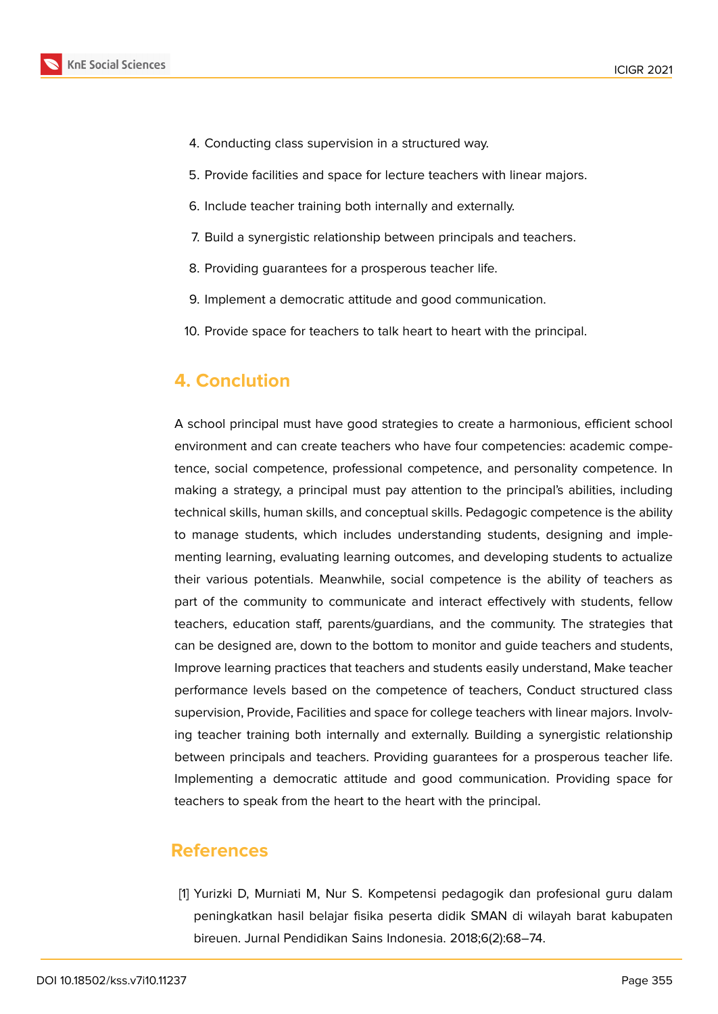

- 4. Conducting class supervision in a structured way.
- 5. Provide facilities and space for lecture teachers with linear majors.
- 6. Include teacher training both internally and externally.
- 7. Build a synergistic relationship between principals and teachers.
- 8. Providing guarantees for a prosperous teacher life.
- 9. Implement a democratic attitude and good communication.
- 10. Provide space for teachers to talk heart to heart with the principal.

# **4. Conclution**

A school principal must have good strategies to create a harmonious, efficient school environment and can create teachers who have four competencies: academic competence, social competence, professional competence, and personality competence. In making a strategy, a principal must pay attention to the principal's abilities, including technical skills, human skills, and conceptual skills. Pedagogic competence is the ability to manage students, which includes understanding students, designing and implementing learning, evaluating learning outcomes, and developing students to actualize their various potentials. Meanwhile, social competence is the ability of teachers as part of the community to communicate and interact effectively with students, fellow teachers, education staff, parents/guardians, and the community. The strategies that can be designed are, down to the bottom to monitor and guide teachers and students, Improve learning practices that teachers and students easily understand, Make teacher performance levels based on the competence of teachers, Conduct structured class supervision, Provide, Facilities and space for college teachers with linear majors. Involving teacher training both internally and externally. Building a synergistic relationship between principals and teachers. Providing guarantees for a prosperous teacher life. Implementing a democratic attitude and good communication. Providing space for teachers to speak from the heart to the heart with the principal.

### **References**

<span id="page-5-0"></span>[1] Yurizki D, Murniati M, Nur S. Kompetensi pedagogik dan profesional guru dalam peningkatkan hasil belajar fisika peserta didik SMAN di wilayah barat kabupaten bireuen. Jurnal Pendidikan Sains Indonesia. 2018;6(2):68–74.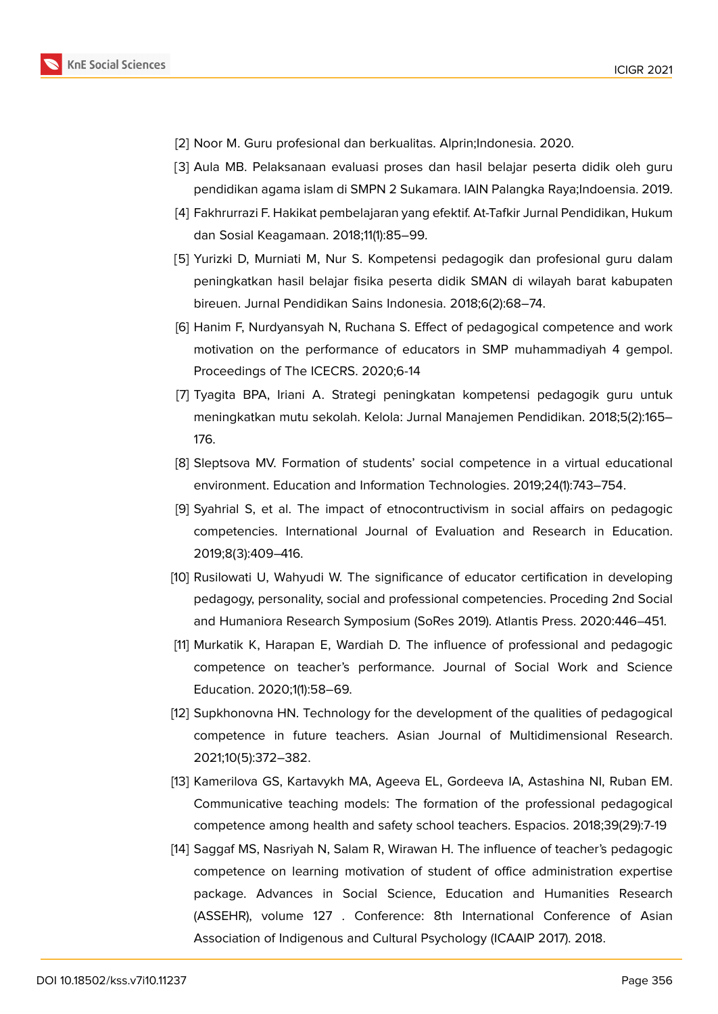

- <span id="page-6-0"></span>[2] Noor M. Guru profesional dan berkualitas. Alprin; Indonesia. 2020.
- <span id="page-6-1"></span>[3] Aula MB. Pelaksanaan evaluasi proses dan hasil belajar peserta didik oleh guru pendidikan agama islam di SMPN 2 Sukamara. IAIN Palangka Raya;Indoensia. 2019.
- <span id="page-6-2"></span>[4] Fakhrurrazi F. Hakikat pembelajaran yang efektif. At-Tafkir Jurnal Pendidikan, Hukum dan Sosial Keagamaan. 2018;11(1):85–99.
- <span id="page-6-4"></span>[5] Yurizki D, Murniati M, Nur S. Kompetensi pedagogik dan profesional guru dalam peningkatkan hasil belajar fisika peserta didik SMAN di wilayah barat kabupaten bireuen. Jurnal Pendidikan Sains Indonesia. 2018;6(2):68–74.
- <span id="page-6-3"></span>[6] Hanim F, Nurdyansyah N, Ruchana S. Effect of pedagogical competence and work motivation on the performance of educators in SMP muhammadiyah 4 gempol. Proceedings of The ICECRS. 2020;6-14
- <span id="page-6-5"></span>[7] Tyagita BPA, Iriani A. Strategi peningkatan kompetensi pedagogik guru untuk meningkatkan mutu sekolah. Kelola: Jurnal Manajemen Pendidikan. 2018;5(2):165– 176.
- <span id="page-6-6"></span>[8] Sleptsova MV. Formation of students' social competence in a virtual educational environment. Education and Information Technologies. 2019;24(1):743–754.
- <span id="page-6-7"></span>[9] Syahrial S, et al. The impact of etnocontructivism in social affairs on pedagogic competencies. International Journal of Evaluation and Research in Education. 2019;8(3):409–416.
- <span id="page-6-8"></span>[10] Rusilowati U, Wahyudi W. The significance of educator certification in developing pedagogy, personality, social and professional competencies. Proceding 2nd Social and Humaniora Research Symposium (SoRes 2019). Atlantis Press. 2020:446–451.
- <span id="page-6-9"></span>[11] Murkatik K, Harapan E, Wardiah D. The influence of professional and pedagogic competence on teacher's performance. Journal of Social Work and Science Education. 2020;1(1):58–69.
- <span id="page-6-10"></span>[12] Supkhonovna HN. Technology for the development of the qualities of pedagogical competence in future teachers. Asian Journal of Multidimensional Research. 2021;10(5):372–382.
- <span id="page-6-11"></span>[13] Kamerilova GS, Kartavykh MA, Ageeva EL, Gordeeva IA, Astashina NI, Ruban EM. Communicative teaching models: The formation of the professional pedagogical competence among health and safety school teachers. Espacios. 2018;39(29):7-19
- <span id="page-6-12"></span>[14] Saggaf MS, Nasriyah N, Salam R, Wirawan H. The influence of teacher's pedagogic competence on learning motivation of student of office administration expertise package. Advances in Social Science, Education and Humanities Research (ASSEHR), volume 127 . Conference: 8th International Conference of Asian Association of Indigenous and Cultural Psychology (ICAAIP 2017). 2018.